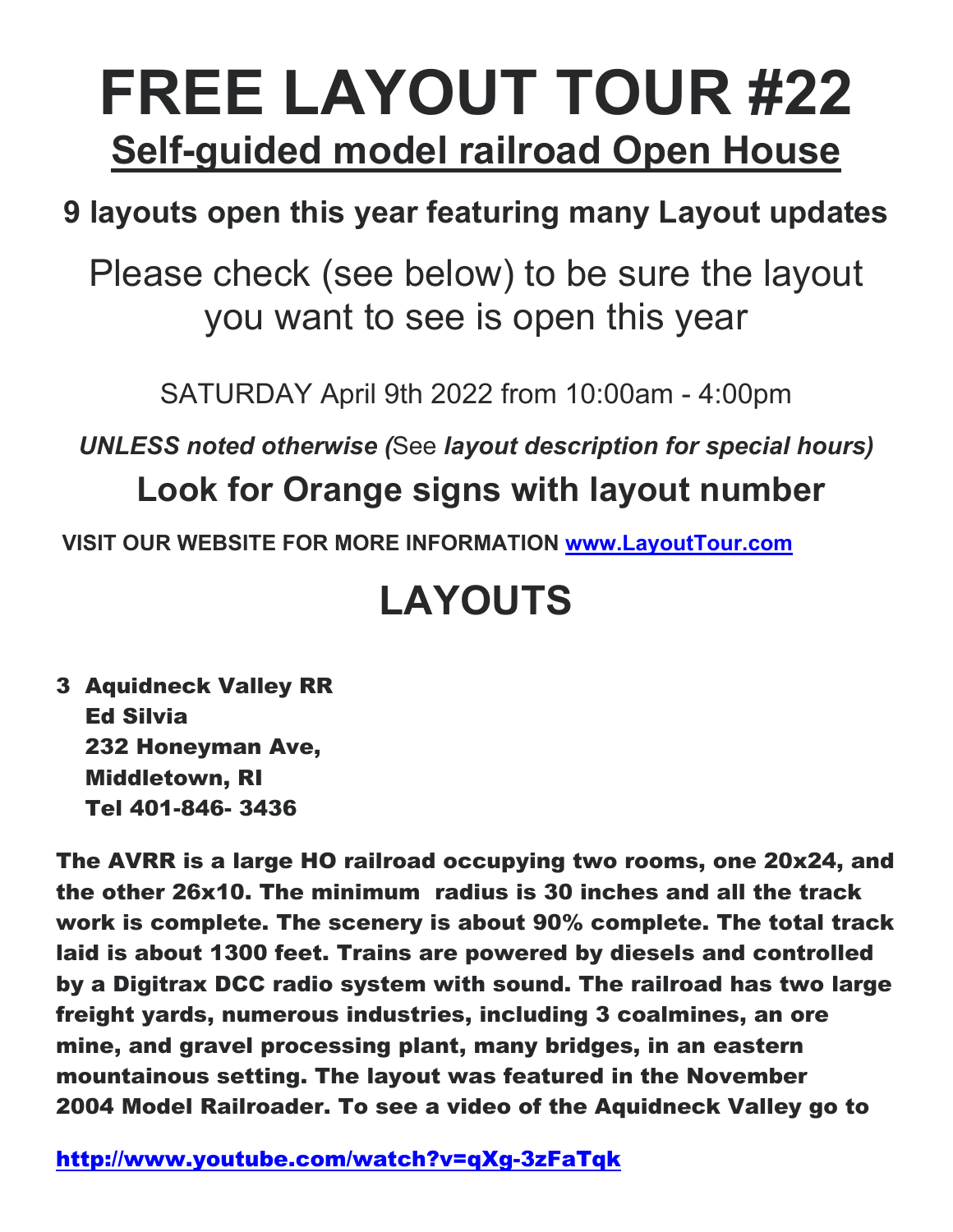## **FREE LAYOUT TOUR #22 Self-guided model railroad Open House**

## **9 layouts open this year featuring many Layout updates**

Please check (see below) to be sure the layout you want to see is open this year

SATURDAY April 9th 2022 from 10:00am - 4:00pm

*UNLESS noted otherwise (*See *layout description for special hours)* **Look for Orange signs with layout number**

 **VISIT OUR WEBSITE FOR MORE INFORMATION www.LayoutTour.com**

## **LAYOUTS**

3 Aquidneck Valley RR Ed Silvia 232 Honeyman Ave, Middletown, RI Tel 401-846- 3436

The AVRR is a large HO railroad occupying two rooms, one 20x24, and the other 26x10. The minimum radius is 30 inches and all the track work is complete. The scenery is about 90% complete. The total track laid is about 1300 feet. Trains are powered by diesels and controlled by a Digitrax DCC radio system with sound. The railroad has two large freight yards, numerous industries, including 3 coalmines, an ore mine, and gravel processing plant, many bridges, in an eastern mountainous setting. The layout was featured in the November 2004 Model Railroader. To see a video of the Aquidneck Valley go to

http://www.youtube.com/watch?v=qXg-3zFaTqk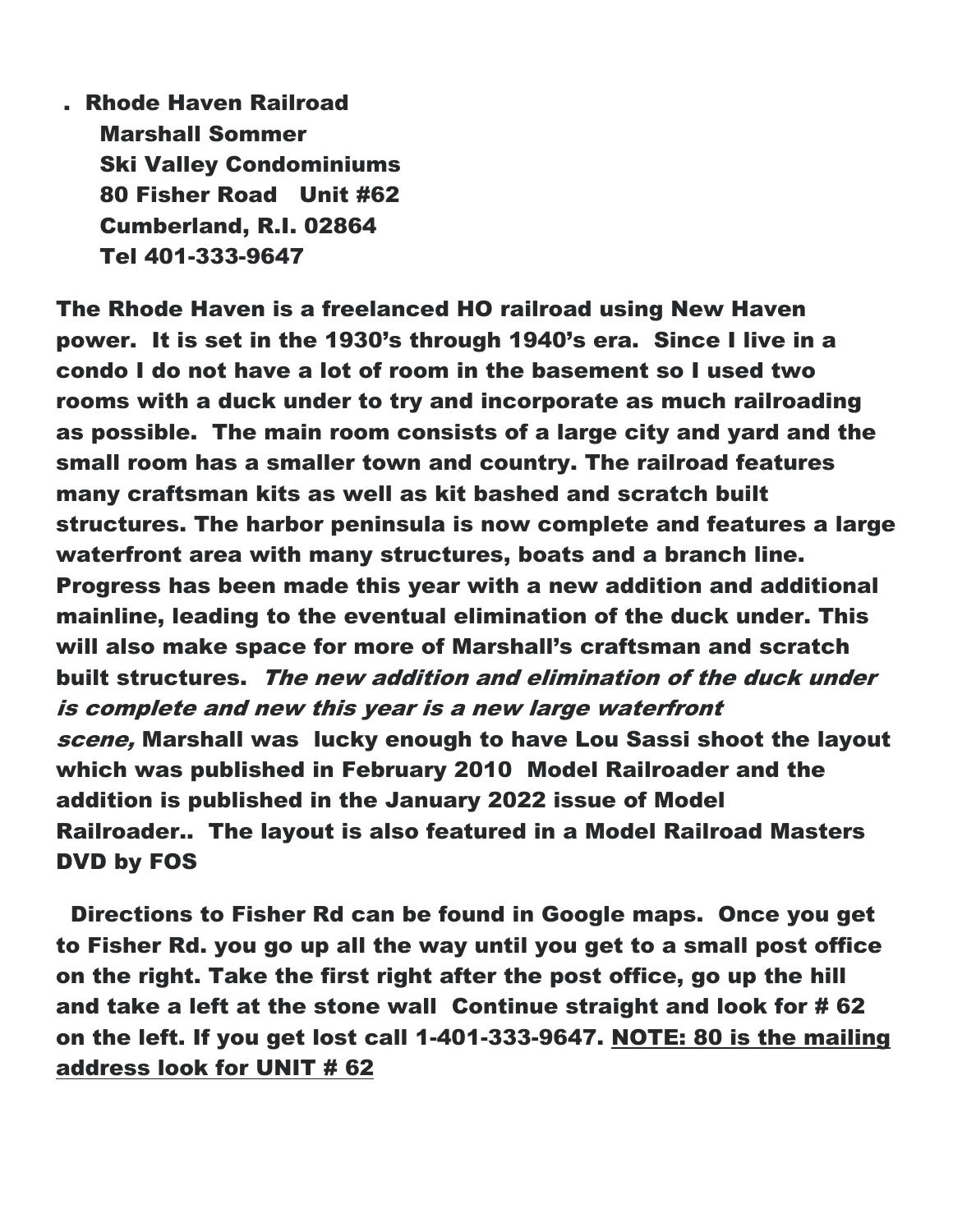. Rhode Haven Railroad Marshall Sommer Ski Valley Condominiums 80 Fisher Road Unit #62 Cumberland, R.I. 02864 Tel 401-333-9647

The Rhode Haven is a freelanced HO railroad using New Haven power. It is set in the 1930's through 1940's era. Since I live in a condo I do not have a lot of room in the basement so I used two rooms with a duck under to try and incorporate as much railroading as possible. The main room consists of a large city and yard and the small room has a smaller town and country. The railroad features many craftsman kits as well as kit bashed and scratch built structures. The harbor peninsula is now complete and features a large waterfront area with many structures, boats and a branch line. Progress has been made this year with a new addition and additional mainline, leading to the eventual elimination of the duck under. This will also make space for more of Marshall's craftsman and scratch built structures. The new addition and elimination of the duck under is complete and new this year is a new large waterfront scene, Marshall was lucky enough to have Lou Sassi shoot the layout which was published in February 2010 Model Railroader and the addition is published in the January 2022 issue of Model Railroader.. The layout is also featured in a Model Railroad Masters DVD by FOS

 Directions to Fisher Rd can be found in Google maps. Once you get to Fisher Rd. you go up all the way until you get to a small post office on the right. Take the first right after the post office, go up the hill and take a left at the stone wall Continue straight and look for # 62 on the left. If you get lost call 1-401-333-9647. NOTE: 80 is the mailing address look for UNIT # 62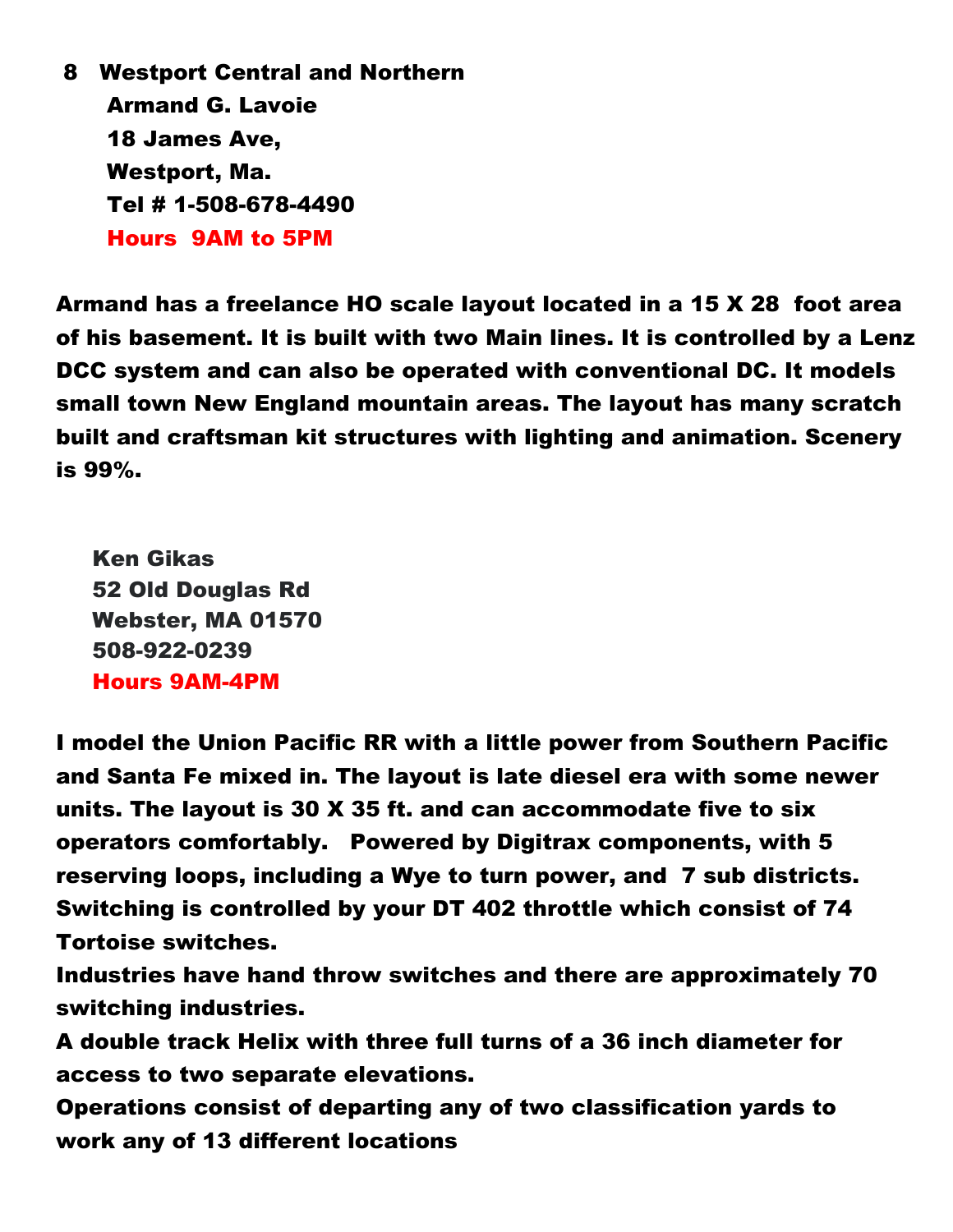8 Westport Central and Northern Armand G. Lavoie 18 James Ave, Westport, Ma. Tel # 1-508-678-4490 Hours 9AM to 5PM

Armand has a freelance HO scale layout located in a 15 X 28 foot area of his basement. It is built with two Main lines. It is controlled by a Lenz DCC system and can also be operated with conventional DC. It models small town New England mountain areas. The layout has many scratch built and craftsman kit structures with lighting and animation. Scenery is 99%.

 Ken Gikas 52 Old Douglas Rd Webster, MA 01570 508-922-0239 Hours 9AM-4PM

I model the Union Pacific RR with a little power from Southern Pacific and Santa Fe mixed in. The layout is late diesel era with some newer units. The layout is 30 X 35 ft. and can accommodate five to six operators comfortably. Powered by Digitrax components, with 5 reserving loops, including a Wye to turn power, and 7 sub districts. Switching is controlled by your DT 402 throttle which consist of 74 Tortoise switches.

Industries have hand throw switches and there are approximately 70 switching industries.

A double track Helix with three full turns of a 36 inch diameter for access to two separate elevations.

Operations consist of departing any of two classification yards to work any of 13 different locations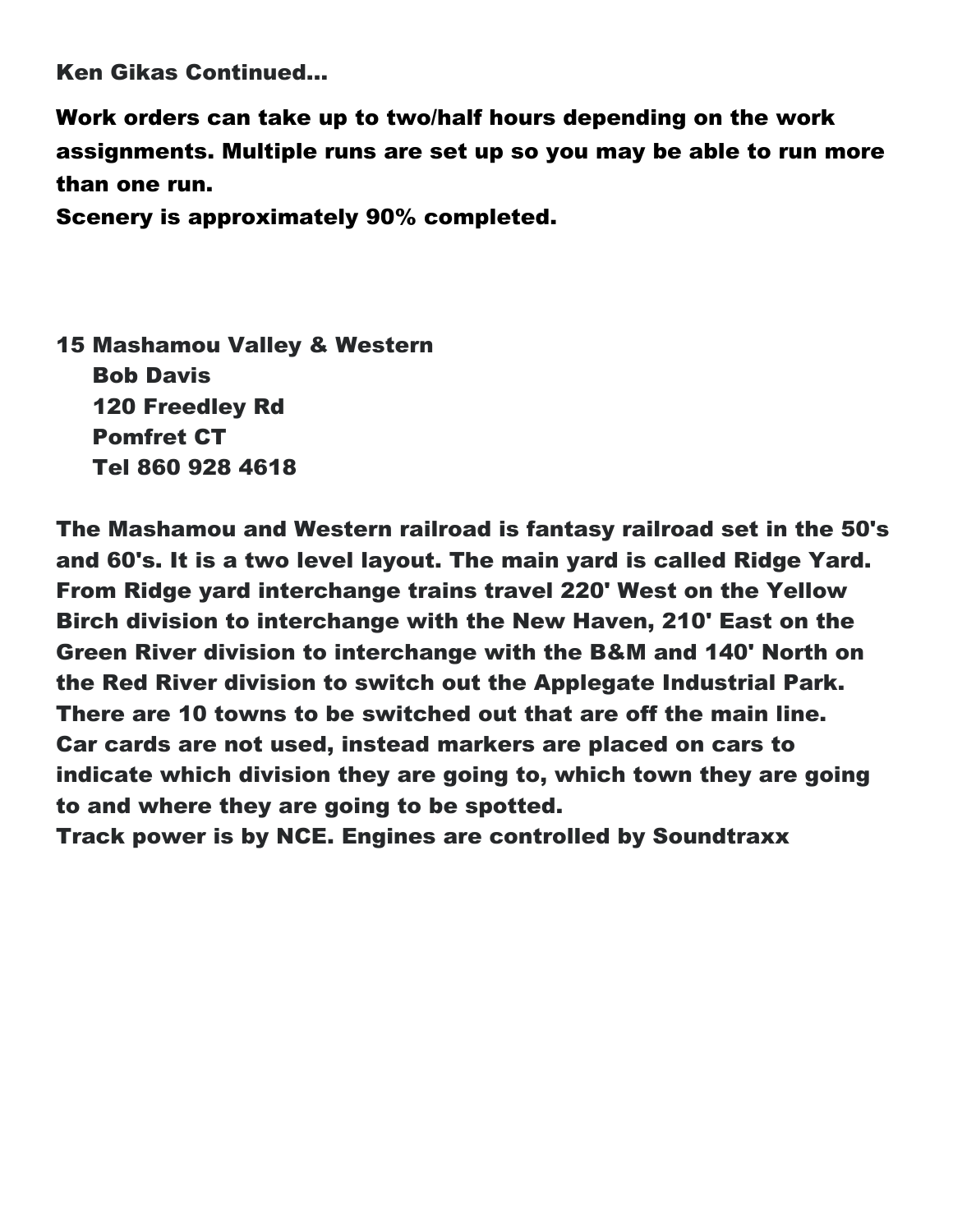Ken Gikas Continued…

Work orders can take up to two/half hours depending on the work assignments. Multiple runs are set up so you may be able to run more than one run.

Scenery is approximately 90% completed.

15 Mashamou Valley & Western Bob Davis 120 Freedley Rd Pomfret CT Tel 860 928 4618

The Mashamou and Western railroad is fantasy railroad set in the 50's and 60's. It is a two level layout. The main yard is called Ridge Yard. From Ridge yard interchange trains travel 220' West on the Yellow Birch division to interchange with the New Haven, 210' East on the Green River division to interchange with the B&M and 140' North on the Red River division to switch out the Applegate Industrial Park. There are 10 towns to be switched out that are off the main line. Car cards are not used, instead markers are placed on cars to indicate which division they are going to, which town they are going to and where they are going to be spotted.

Track power is by NCE. Engines are controlled by Soundtraxx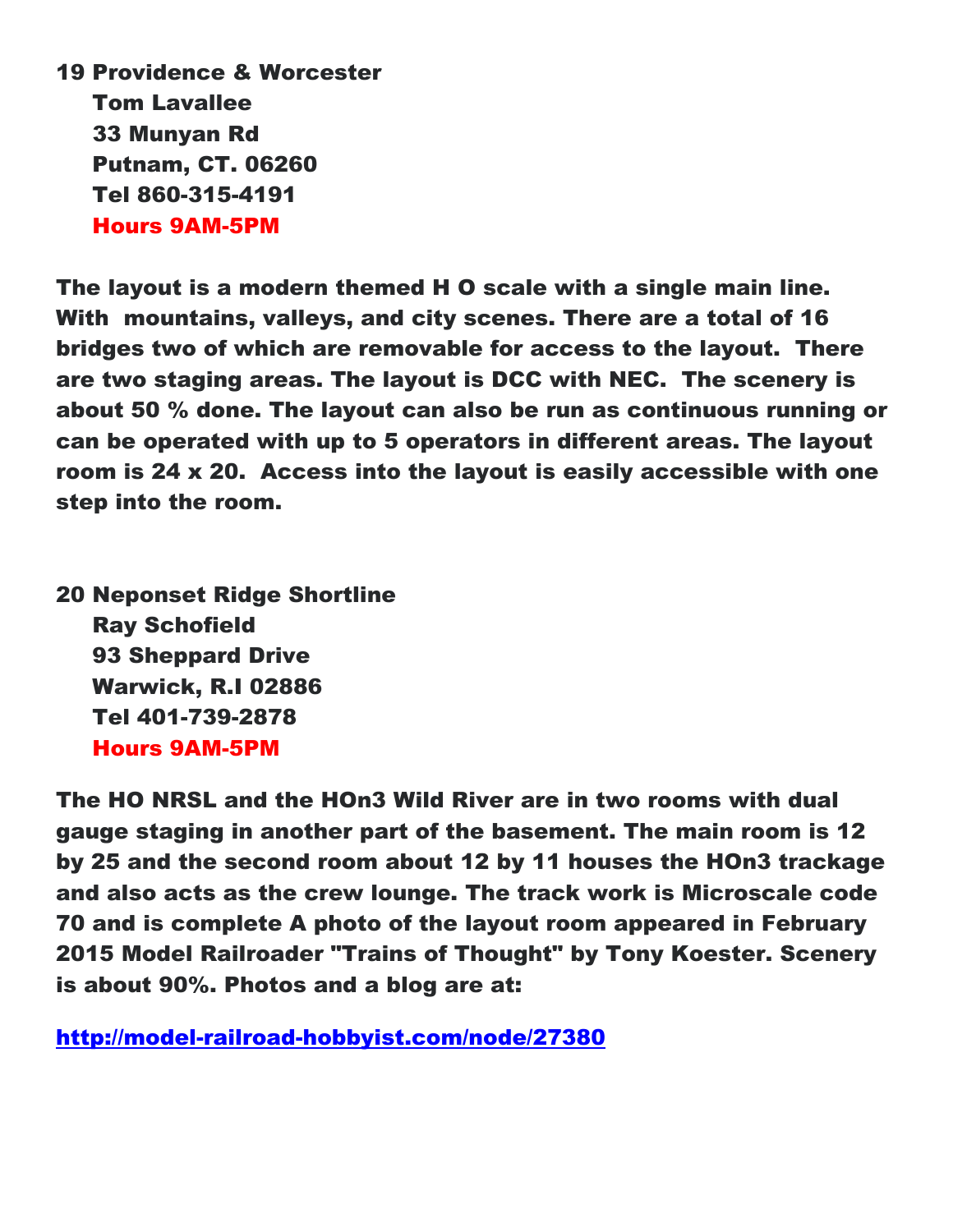19 Providence & Worcester Tom Lavallee 33 Munyan Rd Putnam, CT. 06260 Tel 860-315-4191 Hours 9AM-5PM

The layout is a modern themed H O scale with a single main line. With mountains, valleys, and city scenes. There are a total of 16 bridges two of which are removable for access to the layout. There are two staging areas. The layout is DCC with NEC. The scenery is about 50 % done. The layout can also be run as continuous running or can be operated with up to 5 operators in different areas. The layout room is 24 x 20. Access into the layout is easily accessible with one step into the room.

20 Neponset Ridge Shortline Ray Schofield 93 Sheppard Drive Warwick, R.I 02886 Tel 401-739-2878 Hours 9AM-5PM

The HO NRSL and the HOn3 Wild River are in two rooms with dual gauge staging in another part of the basement. The main room is 12 by 25 and the second room about 12 by 11 houses the HOn3 trackage and also acts as the crew lounge. The track work is Microscale code 70 and is complete A photo of the layout room appeared in February 2015 Model Railroader "Trains of Thought" by Tony Koester. Scenery is about 90%. Photos and a blog are at:

http://model-railroad-hobbyist.com/node/27380